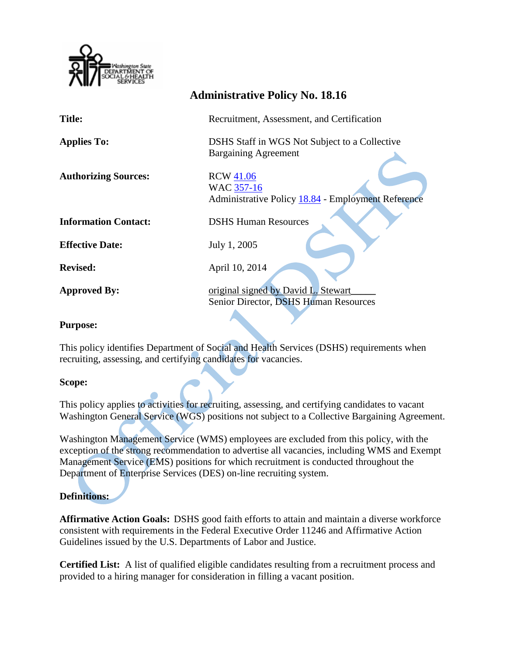

|                             | <b>Administrative Policy No. 18.16</b>                                               |
|-----------------------------|--------------------------------------------------------------------------------------|
| <b>Title:</b>               | Recruitment, Assessment, and Certification                                           |
| <b>Applies To:</b>          | DSHS Staff in WGS Not Subject to a Collective<br><b>Bargaining Agreement</b>         |
| <b>Authorizing Sources:</b> | <b>RCW 41.06</b><br>WAC 357-16<br>Administrative Policy 18.84 - Employment Reference |
| <b>Information Contact:</b> | <b>DSHS Human Resources</b>                                                          |
| <b>Effective Date:</b>      | July 1, 2005                                                                         |
| <b>Revised:</b>             | April 10, 2014                                                                       |
| <b>Approved By:</b>         | original signed by David L. Stewart<br>Senior Director, DSHS Human Resources         |

#### **Purpose:**

This policy identifies Department of Social and Health Services (DSHS) requirements when recruiting, assessing, and certifying candidates for vacancies.

#### **Scope:**

This policy applies to activities for recruiting, assessing, and certifying candidates to vacant Washington General Service (WGS) positions not subject to a Collective Bargaining Agreement.

Washington Management Service (WMS) employees are excluded from this policy, with the exception of the strong recommendation to advertise all vacancies, including WMS and Exempt Management Service (EMS) positions for which recruitment is conducted throughout the Department of Enterprise Services (DES) on-line recruiting system.

# **Definitions:**

**Affirmative Action Goals:** DSHS good faith efforts to attain and maintain a diverse workforce consistent with requirements in the Federal Executive Order 11246 and Affirmative Action Guidelines issued by the U.S. Departments of Labor and Justice.

**Certified List:** A list of qualified eligible candidates resulting from a recruitment process and provided to a hiring manager for consideration in filling a vacant position.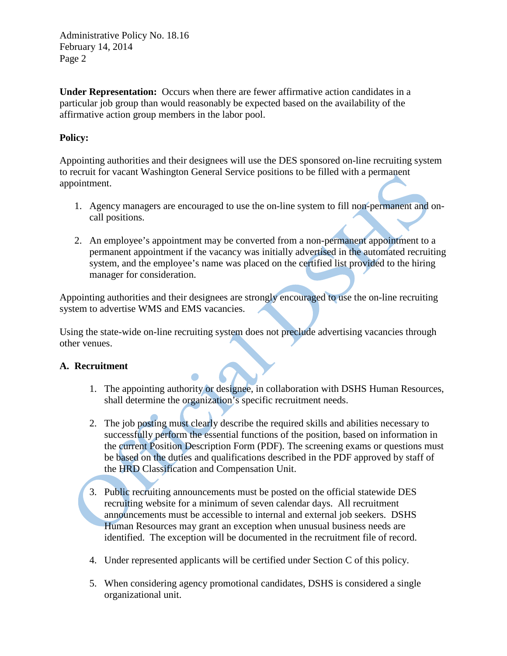Administrative Policy No. 18.16 February 14, 2014 Page 2

**Under Representation:** Occurs when there are fewer affirmative action candidates in a particular job group than would reasonably be expected based on the availability of the affirmative action group members in the labor pool.

# **Policy:**

Appointing authorities and their designees will use the DES sponsored on-line recruiting system to recruit for vacant Washington General Service positions to be filled with a permanent appointment.

- 1. Agency managers are encouraged to use the on-line system to fill non-permanent and oncall positions.
- 2. An employee's appointment may be converted from a non-permanent appointment to a permanent appointment if the vacancy was initially advertised in the automated recruiting system, and the employee's name was placed on the certified list provided to the hiring manager for consideration.

Appointing authorities and their designees are strongly encouraged to use the on-line recruiting system to advertise WMS and EMS vacancies.

Using the state-wide on-line recruiting system does not preclude advertising vacancies through other venues.

# **A. Recruitment**

- 1. The appointing authority or designee, in collaboration with DSHS Human Resources, shall determine the organization's specific recruitment needs.
- 2. The job posting must clearly describe the required skills and abilities necessary to successfully perform the essential functions of the position, based on information in the current Position Description Form (PDF). The screening exams or questions must be based on the duties and qualifications described in the PDF approved by staff of the HRD Classification and Compensation Unit.
- 3. Public recruiting announcements must be posted on the official statewide DES recruiting website for a minimum of seven calendar days. All recruitment announcements must be accessible to internal and external job seekers. DSHS Human Resources may grant an exception when unusual business needs are identified. The exception will be documented in the recruitment file of record.
- 4. Under represented applicants will be certified under Section C of this policy.
- 5. When considering agency promotional candidates, DSHS is considered a single organizational unit.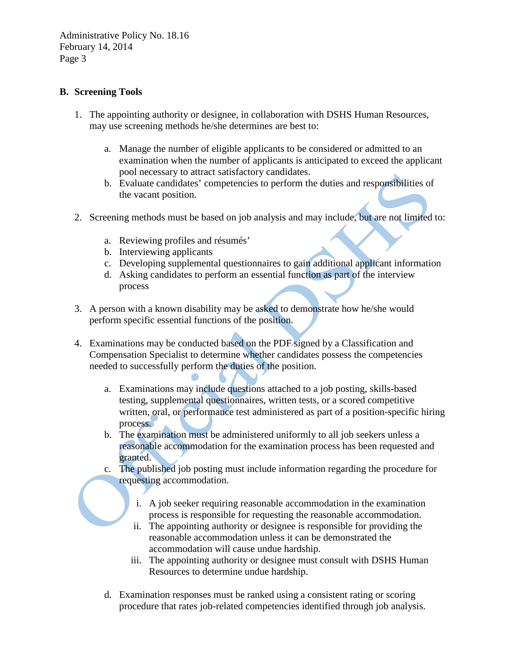Administrative Policy No. 18.16 February 14, 2014 Page 3

### **B. Screening Tools**

- 1. The appointing authority or designee, in collaboration with DSHS Human Resources, may use screening methods he/she determines are best to:
	- a. Manage the number of eligible applicants to be considered or admitted to an examination when the number of applicants is anticipated to exceed the applicant pool necessary to attract satisfactory candidates.
	- b. Evaluate candidates' competencies to perform the duties and responsibilities of the vacant position.
- 2. Screening methods must be based on job analysis and may include, but are not limited to:
	- a. Reviewing profiles and résumés'
	- b. Interviewing applicants
	- c. Developing supplemental questionnaires to gain additional applicant information
	- d. Asking candidates to perform an essential function as part of the interview process
- 3. A person with a known disability may be asked to demonstrate how he/she would perform specific essential functions of the position.
- 4. Examinations may be conducted based on the PDF signed by a Classification and Compensation Specialist to determine whether candidates possess the competencies needed to successfully perform the duties of the position.
	- a. Examinations may include questions attached to a job posting, skills-based testing, supplemental questionnaires, written tests, or a scored competitive written, oral, or performance test administered as part of a position-specific hiring process.
	- b. The examination must be administered uniformly to all job seekers unless a reasonable accommodation for the examination process has been requested and granted.
	- c. The published job posting must include information regarding the procedure for requesting accommodation.
		- i. A job seeker requiring reasonable accommodation in the examination process is responsible for requesting the reasonable accommodation.
		- ii. The appointing authority or designee is responsible for providing the reasonable accommodation unless it can be demonstrated the accommodation will cause undue hardship.
		- iii. The appointing authority or designee must consult with DSHS Human Resources to determine undue hardship.
	- d. Examination responses must be ranked using a consistent rating or scoring procedure that rates job-related competencies identified through job analysis.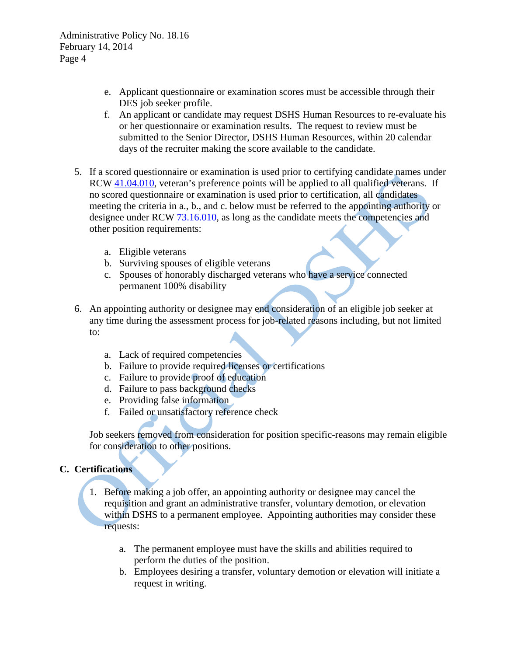- e. Applicant questionnaire or examination scores must be accessible through their DES job seeker profile.
- f. An applicant or candidate may request DSHS Human Resources to re-evaluate his or her questionnaire or examination results. The request to review must be submitted to the Senior Director, DSHS Human Resources, within 20 calendar days of the recruiter making the score available to the candidate.
- 5. If a scored questionnaire or examination is used prior to certifying candidate names under RCW [41.04.010,](http://apps.leg.wa.gov/RCW/default.aspx?cite=41.04.010) veteran's preference points will be applied to all qualified veterans. If no scored questionnaire or examination is used prior to certification, all candidates meeting the criteria in a., b., and c. below must be referred to the appointing authority or designee under RCW [73.16.010,](http://apps.leg.wa.gov/RCW/default.aspx?cite=73.16.010) as long as the candidate meets the competencies and other position requirements:
	- a. Eligible veterans
	- b. Surviving spouses of eligible veterans
	- c. Spouses of honorably discharged veterans who have a service connected permanent 100% disability
- 6. An appointing authority or designee may end consideration of an eligible job seeker at any time during the assessment process for job-related reasons including, but not limited to:
	- a. Lack of required competencies
	- b. Failure to provide required licenses or certifications
	- c. Failure to provide proof of education
	- d. Failure to pass background checks
	- e. Providing false information
	- f. Failed or unsatisfactory reference check

Job seekers removed from consideration for position specific-reasons may remain eligible for consideration to other positions.

# **C. Certifications**

- 1. Before making a job offer, an appointing authority or designee may cancel the requisition and grant an administrative transfer, voluntary demotion, or elevation within DSHS to a permanent employee. Appointing authorities may consider these requests:
	- a. The permanent employee must have the skills and abilities required to perform the duties of the position.
	- b. Employees desiring a transfer, voluntary demotion or elevation will initiate a request in writing.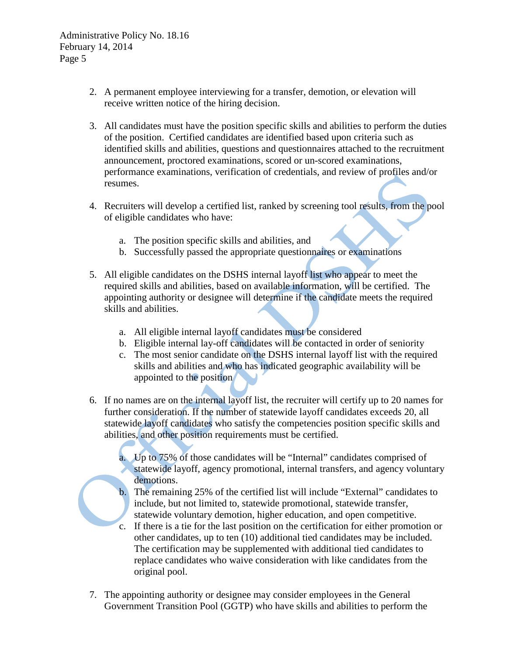Administrative Policy No. 18.16 February 14, 2014 Page 5

- 2. A permanent employee interviewing for a transfer, demotion, or elevation will receive written notice of the hiring decision.
- 3. All candidates must have the position specific skills and abilities to perform the duties of the position. Certified candidates are identified based upon criteria such as identified skills and abilities, questions and questionnaires attached to the recruitment announcement, proctored examinations, scored or un-scored examinations, performance examinations, verification of credentials, and review of profiles and/or resumes.
- 4. Recruiters will develop a certified list, ranked by screening tool results, from the pool of eligible candidates who have:
	- a. The position specific skills and abilities, and
	- b. Successfully passed the appropriate questionnaires or examinations
- 5. All eligible candidates on the DSHS internal layoff list who appear to meet the required skills and abilities, based on available information, will be certified. The appointing authority or designee will determine if the candidate meets the required skills and abilities.
	- a. All eligible internal layoff candidates must be considered
	- b. Eligible internal lay-off candidates will be contacted in order of seniority
	- c. The most senior candidate on the DSHS internal layoff list with the required skills and abilities and who has indicated geographic availability will be appointed to the position
- 6. If no names are on the internal layoff list, the recruiter will certify up to 20 names for further consideration. If the number of statewide layoff candidates exceeds 20, all statewide layoff candidates who satisfy the competencies position specific skills and abilities, and other position requirements must be certified.
	- a. Up to 75% of those candidates will be "Internal" candidates comprised of statewide layoff, agency promotional, internal transfers, and agency voluntary demotions.
	- b. The remaining 25% of the certified list will include "External" candidates to include, but not limited to, statewide promotional, statewide transfer, statewide voluntary demotion, higher education, and open competitive.
	- c. If there is a tie for the last position on the certification for either promotion or other candidates, up to ten (10) additional tied candidates may be included. The certification may be supplemented with additional tied candidates to replace candidates who waive consideration with like candidates from the original pool.
- 7. The appointing authority or designee may consider employees in the General Government Transition Pool (GGTP) who have skills and abilities to perform the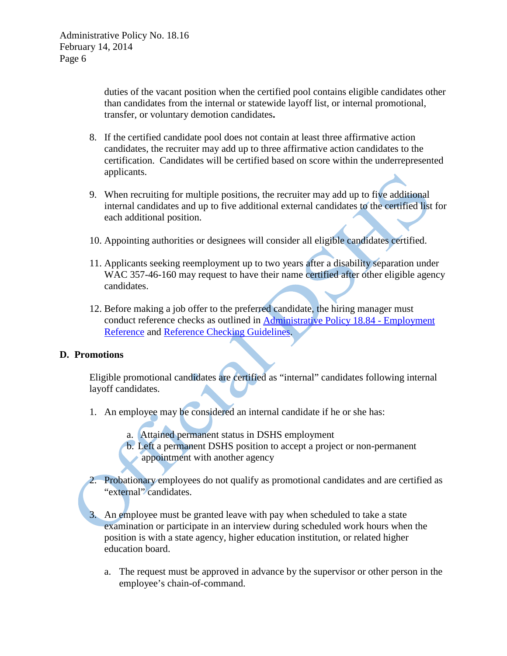duties of the vacant position when the certified pool contains eligible candidates other than candidates from the internal or statewide layoff list, or internal promotional, transfer, or voluntary demotion candidates**.**

- 8. If the certified candidate pool does not contain at least three affirmative action candidates, the recruiter may add up to three affirmative action candidates to the certification. Candidates will be certified based on score within the underrepresented applicants.
- 9. When recruiting for multiple positions, the recruiter may add up to five additional internal candidates and up to five additional external candidates to the certified list for each additional position.
- 10. Appointing authorities or designees will consider all eligible candidates certified.
- 11. Applicants seeking reemployment up to two years after a disability separation under WAC 357-46-160 may request to have their name certified after other eligible agency candidates.
- 12. Before making a job offer to the preferred candidate, the hiring manager must conduct reference checks as outlined in [Administrative Policy 18.84 -](http://hrd.dshs.wa.gov/Top_Toolbar/Guidlines_and_Best_Practices/Guidlines_Best_Practices.htm) Employment [Reference](http://hrd.dshs.wa.gov/Top_Toolbar/Guidlines_and_Best_Practices/Guidlines_Best_Practices.htm) and [Reference Checking Guidelines.](http://hrd.dshs.wa.gov/Top_Toolbar/Guidlines_and_Best_Practices/Guidlines_Best_Practices.htm)

#### **D. Promotions**

Eligible promotional candidates are certified as "internal" candidates following internal layoff candidates.

- 1. An employee may be considered an internal candidate if he or she has:
	- a. Attained permanent status in DSHS employment
	- b. Left a permanent DSHS position to accept a project or non-permanent appointment with another agency
- 2. Probationary employees do not qualify as promotional candidates and are certified as "external" candidates.
- 3. An employee must be granted leave with pay when scheduled to take a state examination or participate in an interview during scheduled work hours when the position is with a state agency, higher education institution, or related higher education board.
	- a. The request must be approved in advance by the supervisor or other person in the employee's chain-of-command.